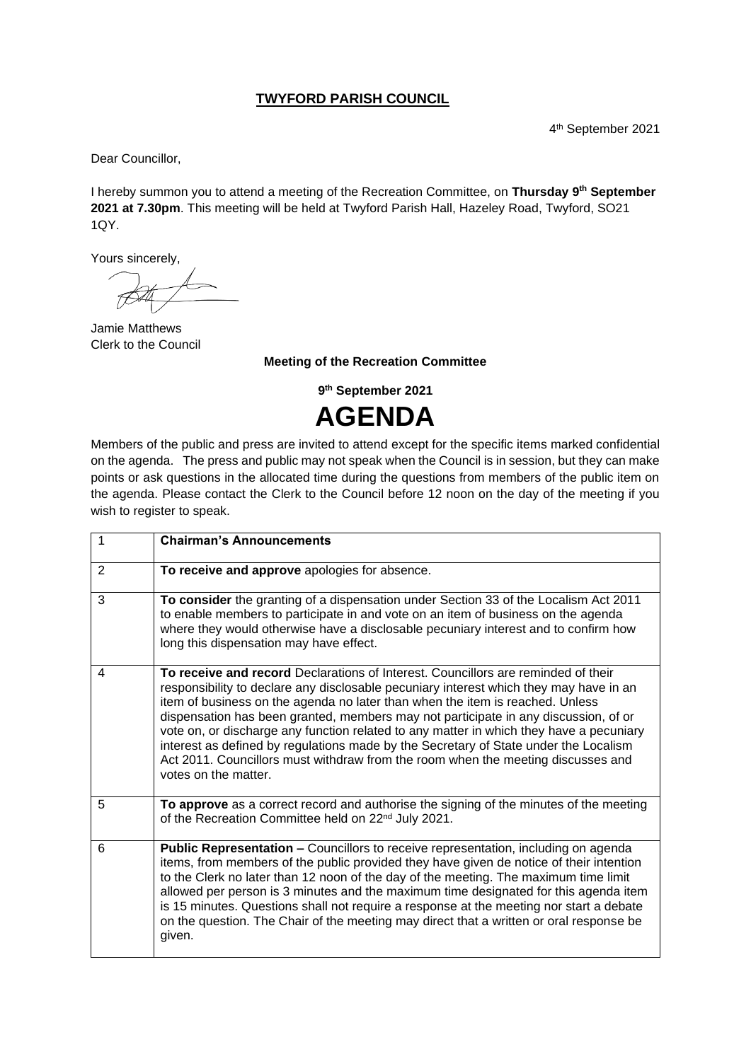## **TWYFORD PARISH COUNCIL**

4 th September 2021

Dear Councillor,

I hereby summon you to attend a meeting of the Recreation Committee, on **Thursday 9 th September 2021 at 7.30pm**. This meeting will be held at Twyford Parish Hall, Hazeley Road, Twyford, SO21 1QY.

Yours sincerely,

Jamie Matthews Clerk to the Council

## **Meeting of the Recreation Committee**

**9 th September 2021** 

**AGENDA**

Members of the public and press are invited to attend except for the specific items marked confidential on the agenda. The press and public may not speak when the Council is in session, but they can make points or ask questions in the allocated time during the questions from members of the public item on the agenda. Please contact the Clerk to the Council before 12 noon on the day of the meeting if you wish to register to speak.

|                | <b>Chairman's Announcements</b>                                                                                                                                                                                                                                                                                                                                                                                                                                                                                                                                                                                                                    |
|----------------|----------------------------------------------------------------------------------------------------------------------------------------------------------------------------------------------------------------------------------------------------------------------------------------------------------------------------------------------------------------------------------------------------------------------------------------------------------------------------------------------------------------------------------------------------------------------------------------------------------------------------------------------------|
| $\overline{2}$ | To receive and approve apologies for absence.                                                                                                                                                                                                                                                                                                                                                                                                                                                                                                                                                                                                      |
| 3              | To consider the granting of a dispensation under Section 33 of the Localism Act 2011<br>to enable members to participate in and vote on an item of business on the agenda<br>where they would otherwise have a disclosable pecuniary interest and to confirm how<br>long this dispensation may have effect.                                                                                                                                                                                                                                                                                                                                        |
| 4              | To receive and record Declarations of Interest. Councillors are reminded of their<br>responsibility to declare any disclosable pecuniary interest which they may have in an<br>item of business on the agenda no later than when the item is reached. Unless<br>dispensation has been granted, members may not participate in any discussion, of or<br>vote on, or discharge any function related to any matter in which they have a pecuniary<br>interest as defined by regulations made by the Secretary of State under the Localism<br>Act 2011. Councillors must withdraw from the room when the meeting discusses and<br>votes on the matter. |
| 5              | To approve as a correct record and authorise the signing of the minutes of the meeting<br>of the Recreation Committee held on 22 <sup>nd</sup> July 2021.                                                                                                                                                                                                                                                                                                                                                                                                                                                                                          |
| 6              | Public Representation - Councillors to receive representation, including on agenda<br>items, from members of the public provided they have given de notice of their intention<br>to the Clerk no later than 12 noon of the day of the meeting. The maximum time limit<br>allowed per person is 3 minutes and the maximum time designated for this agenda item<br>is 15 minutes. Questions shall not require a response at the meeting nor start a debate<br>on the question. The Chair of the meeting may direct that a written or oral response be<br>given.                                                                                      |